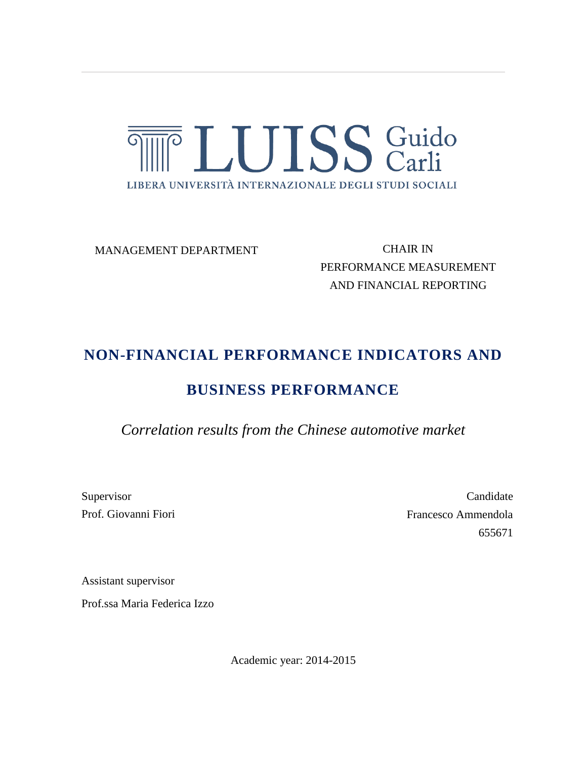

MANAGEMENT DEPARTMENT

CHAIR IN PERFORMANCE MEASUREMENT AND FINANCIAL REPORTING

# **NON-FINANCIAL PERFORMANCE INDICATORS AND**

# **BUSINESS PERFORMANCE**

*Correlation results from the Chinese automotive market*

Supervisor Prof. Giovanni Fiori

Candidate Francesco Ammendola 655671

Assistant supervisor

Prof.ssa Maria Federica Izzo

Academic year: 2014-2015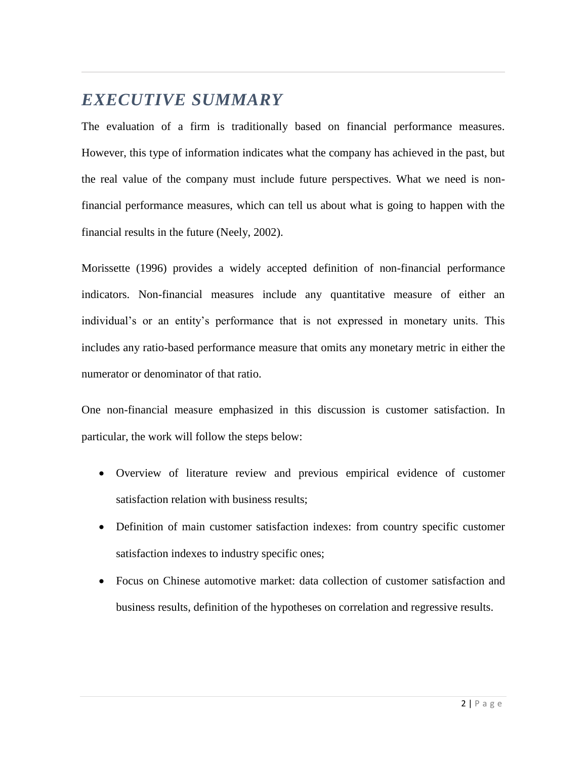# *EXECUTIVE SUMMARY*

The evaluation of a firm is traditionally based on financial performance measures. However, this type of information indicates what the company has achieved in the past, but the real value of the company must include future perspectives. What we need is nonfinancial performance measures, which can tell us about what is going to happen with the financial results in the future (Neely, 2002).

Morissette (1996) provides a widely accepted definition of non-financial performance indicators. Non-financial measures include any quantitative measure of either an individual's or an entity's performance that is not expressed in monetary units. This includes any ratio-based performance measure that omits any monetary metric in either the numerator or denominator of that ratio.

One non-financial measure emphasized in this discussion is customer satisfaction. In particular, the work will follow the steps below:

- Overview of literature review and previous empirical evidence of customer satisfaction relation with business results;
- Definition of main customer satisfaction indexes: from country specific customer satisfaction indexes to industry specific ones;
- Focus on Chinese automotive market: data collection of customer satisfaction and business results, definition of the hypotheses on correlation and regressive results.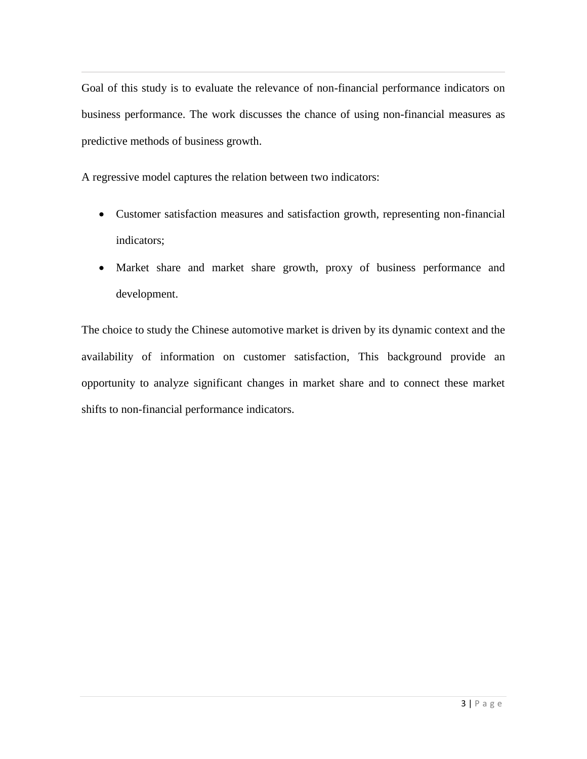Goal of this study is to evaluate the relevance of non-financial performance indicators on business performance. The work discusses the chance of using non-financial measures as predictive methods of business growth.

A regressive model captures the relation between two indicators:

- Customer satisfaction measures and satisfaction growth, representing non-financial indicators;
- Market share and market share growth, proxy of business performance and development.

The choice to study the Chinese automotive market is driven by its dynamic context and the availability of information on customer satisfaction, This background provide an opportunity to analyze significant changes in market share and to connect these market shifts to non-financial performance indicators.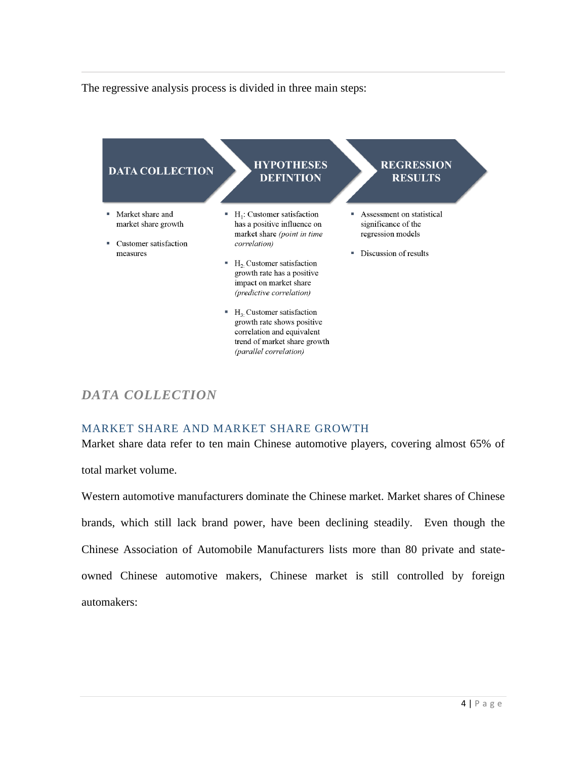The regressive analysis process is divided in three main steps:



# *DATA COLLECTION*

### MARKET SHARE AND MARKET SHARE GROWTH

Market share data refer to ten main Chinese automotive players, covering almost 65% of

total market volume.

Western automotive manufacturers dominate the Chinese market. Market shares of Chinese brands, which still lack brand power, have been declining steadily. Even though the Chinese Association of Automobile Manufacturers lists more than 80 private and stateowned Chinese automotive makers, Chinese market is still controlled by foreign automakers: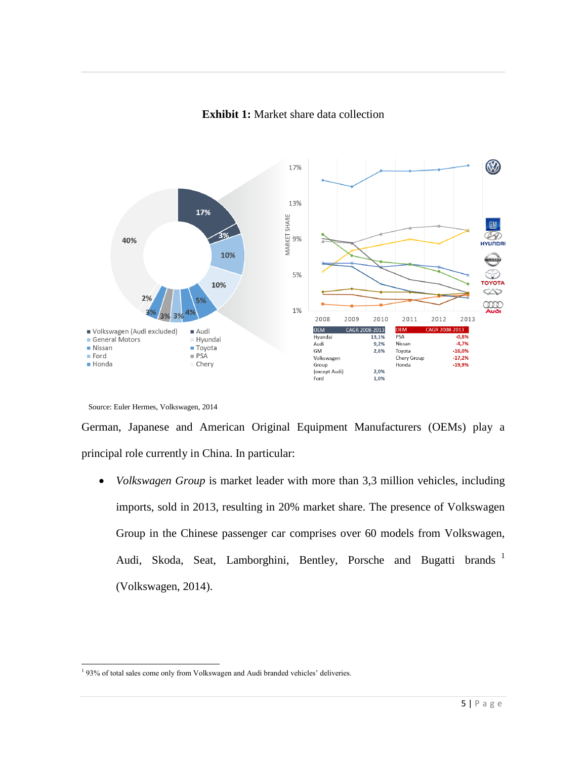

#### **Exhibit 1:** Market share data collection

German, Japanese and American Original Equipment Manufacturers (OEMs) play a principal role currently in China. In particular:

 *Volkswagen Group* is market leader with more than 3,3 million vehicles, including imports, sold in 2013, resulting in 20% market share. The presence of Volkswagen Group in the Chinese passenger car comprises over 60 models from Volkswagen, Audi, Skoda, Seat, Lamborghini, Bentley, Porsche and Bugatti brands <sup>1</sup> (Volkswagen, 2014).

Source: Euler Hermes, Volkswagen, 2014

<sup>&</sup>lt;sup>1</sup> 93% of total sales come only from Volkswagen and Audi branded vehicles' deliveries.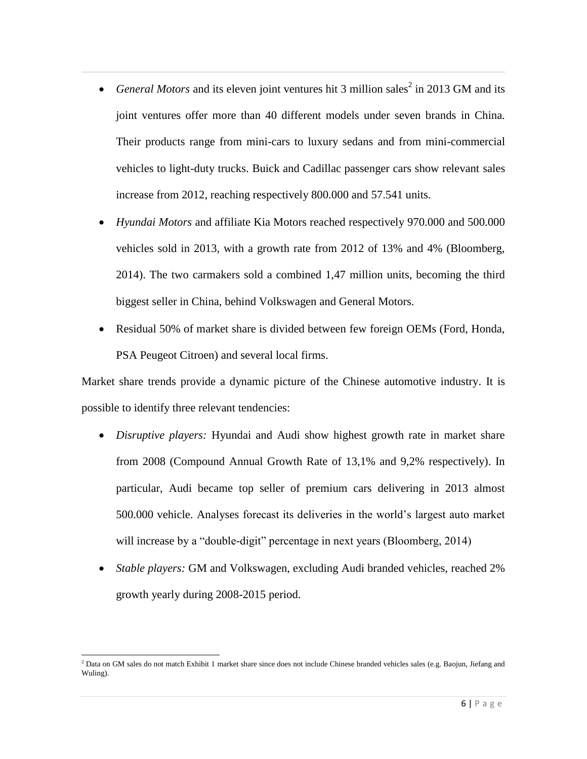- General Motors and its eleven joint ventures hit 3 million sales<sup>2</sup> in 2013 GM and its joint ventures offer more than 40 different models under seven brands in China. Their products range from mini-cars to luxury sedans and from mini-commercial vehicles to light-duty trucks. Buick and Cadillac passenger cars show relevant sales increase from 2012, reaching respectively 800.000 and 57.541 units.
- *Hyundai Motors* and affiliate Kia Motors reached respectively 970.000 and 500.000 vehicles sold in 2013, with a growth rate from 2012 of 13% and 4% (Bloomberg, 2014). The two carmakers sold a combined 1,47 million units, becoming the third biggest seller in China, behind Volkswagen and General Motors.
- Residual 50% of market share is divided between few foreign OEMs (Ford, Honda, PSA Peugeot Citroen) and several local firms.

Market share trends provide a dynamic picture of the Chinese automotive industry. It is possible to identify three relevant tendencies:

- *Disruptive players:* Hyundai and Audi show highest growth rate in market share from 2008 (Compound Annual Growth Rate of 13,1% and 9,2% respectively). In particular, Audi became top seller of premium cars delivering in 2013 almost 500.000 vehicle. Analyses forecast its deliveries in the world's largest auto market will increase by a "double-digit" percentage in next years (Bloomberg, 2014)
- *Stable players:* GM and Volkswagen, excluding Audi branded vehicles, reached 2% growth yearly during 2008-2015 period.

 $\overline{a}$  $<sup>2</sup>$  Data on GM sales do not match Exhibit 1 market share since does not include Chinese branded vehicles sales (e.g. Baojun, Jiefang and</sup> Wuling).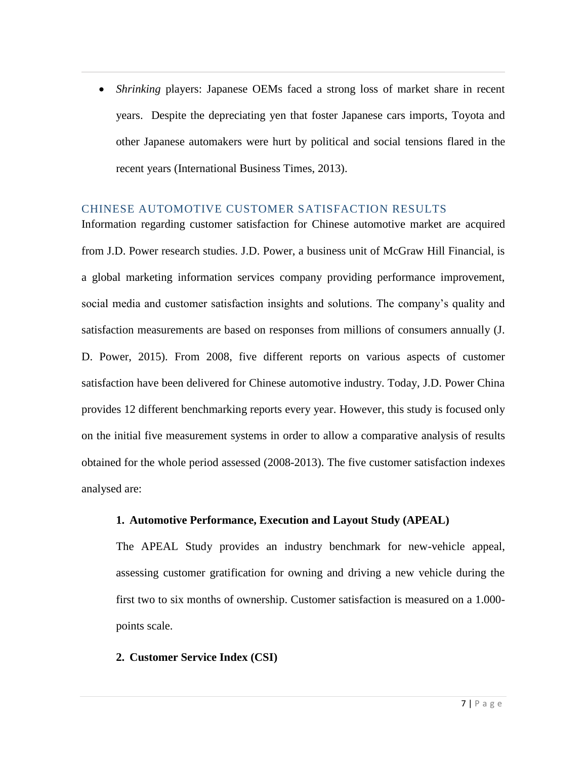*Shrinking* players: Japanese OEMs faced a strong loss of market share in recent years. Despite the depreciating yen that foster Japanese cars imports, Toyota and other Japanese automakers were hurt by political and social tensions flared in the recent years (International Business Times, 2013).

#### CHINESE AUTOMOTIVE CUSTOMER SATISFACTION RESULTS

Information regarding customer satisfaction for Chinese automotive market are acquired from J.D. Power research studies. J.D. Power, a business unit of McGraw Hill Financial, is a global marketing information services company providing performance improvement, social media and customer satisfaction insights and solutions. The company's quality and satisfaction measurements are based on responses from millions of consumers annually (J. D. Power, 2015). From 2008, five different reports on various aspects of customer satisfaction have been delivered for Chinese automotive industry. Today, J.D. Power China provides 12 different benchmarking reports every year. However, this study is focused only on the initial five measurement systems in order to allow a comparative analysis of results obtained for the whole period assessed (2008-2013). The five customer satisfaction indexes analysed are:

#### **1. Automotive Performance, Execution and Layout Study (APEAL)**

The APEAL Study provides an industry benchmark for new-vehicle appeal, assessing customer gratification for owning and driving a new vehicle during the first two to six months of ownership. Customer satisfaction is measured on a 1.000 points scale.

#### **2. Customer Service Index (CSI)**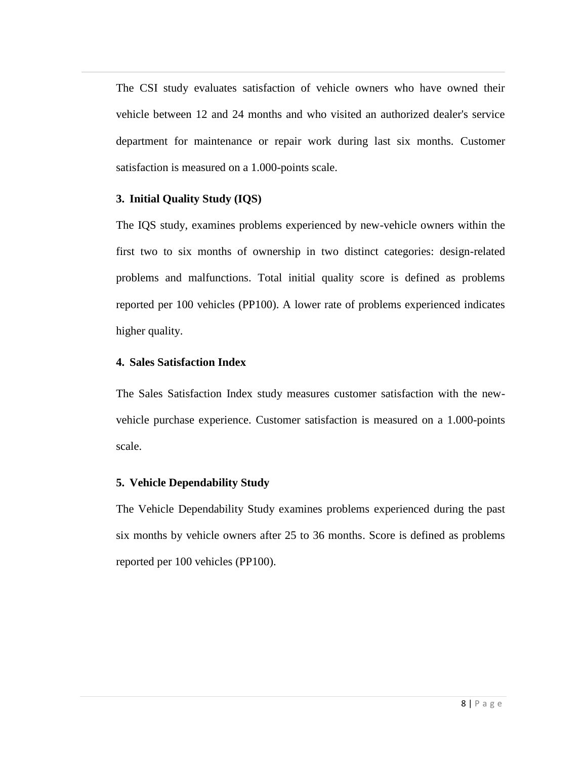The CSI study evaluates satisfaction of vehicle owners who have owned their vehicle between 12 and 24 months and who visited an authorized dealer's service department for maintenance or repair work during last six months. Customer satisfaction is measured on a 1.000-points scale.

#### **3. Initial Quality Study (IQS)**

The IQS study, examines problems experienced by new-vehicle owners within the first two to six months of ownership in two distinct categories: design-related problems and malfunctions. Total initial quality score is defined as problems reported per 100 vehicles (PP100). A lower rate of problems experienced indicates higher quality.

# **4. Sales Satisfaction Index**

The Sales Satisfaction Index study measures customer satisfaction with the newvehicle purchase experience. Customer satisfaction is measured on a 1.000-points scale.

### **5. Vehicle Dependability Study**

The Vehicle Dependability Study examines problems experienced during the past six months by vehicle owners after 25 to 36 months. Score is defined as problems reported per 100 vehicles (PP100).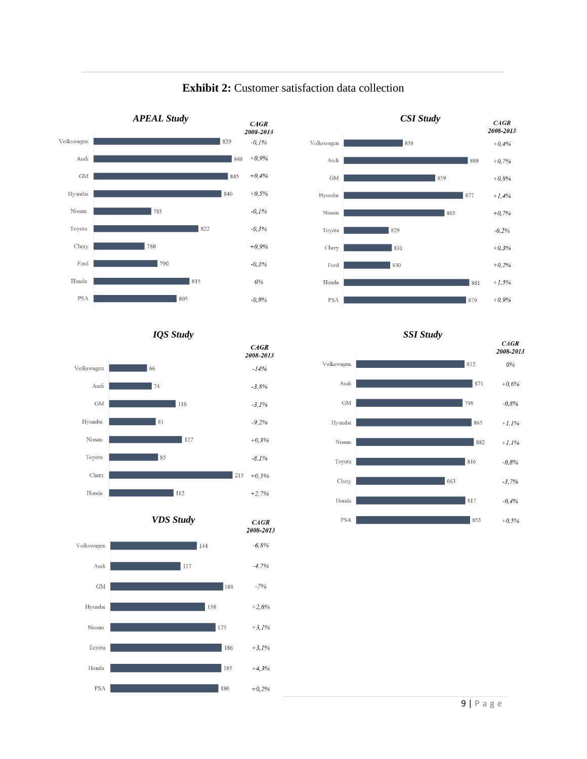

#### **Exhibit 2:** Customer satisfaction data collection



#### *IQS Study SSI Study*



*VDS Study*

 $CAGR$ 



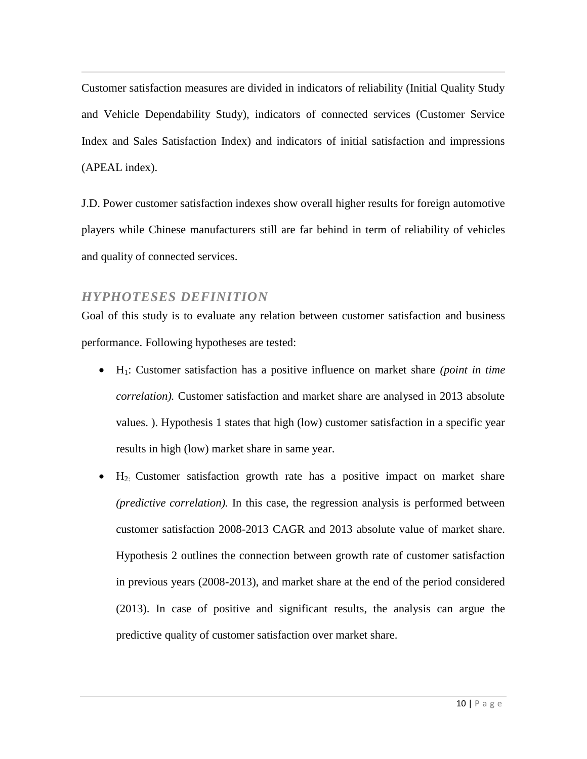Customer satisfaction measures are divided in indicators of reliability (Initial Quality Study and Vehicle Dependability Study), indicators of connected services (Customer Service Index and Sales Satisfaction Index) and indicators of initial satisfaction and impressions (APEAL index).

J.D. Power customer satisfaction indexes show overall higher results for foreign automotive players while Chinese manufacturers still are far behind in term of reliability of vehicles and quality of connected services.

# *HYPHOTESES DEFINITION*

Goal of this study is to evaluate any relation between customer satisfaction and business performance. Following hypotheses are tested:

- H1: Customer satisfaction has a positive influence on market share *(point in time correlation).* Customer satisfaction and market share are analysed in 2013 absolute values. ). Hypothesis 1 states that high (low) customer satisfaction in a specific year results in high (low) market share in same year.
- $H_2$ : Customer satisfaction growth rate has a positive impact on market share *(predictive correlation).* In this case, the regression analysis is performed between customer satisfaction 2008-2013 CAGR and 2013 absolute value of market share. Hypothesis 2 outlines the connection between growth rate of customer satisfaction in previous years (2008-2013), and market share at the end of the period considered (2013). In case of positive and significant results, the analysis can argue the predictive quality of customer satisfaction over market share.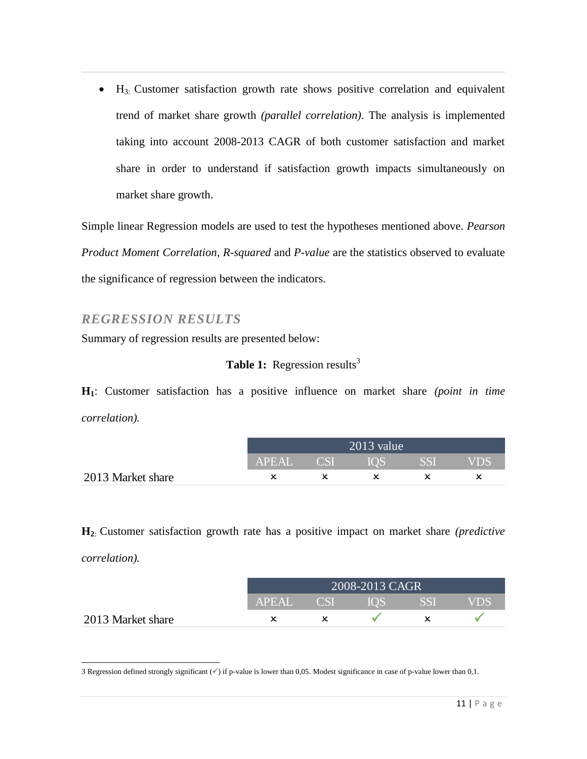$\bullet$  H<sub>3:</sub> Customer satisfaction growth rate shows positive correlation and equivalent trend of market share growth *(parallel correlation)*. The analysis is implemented taking into account 2008-2013 CAGR of both customer satisfaction and market share in order to understand if satisfaction growth impacts simultaneously on market share growth.

Simple linear Regression models are used to test the hypotheses mentioned above. *Pearson Product Moment Correlation, R-squared* and *P-value* are the *s*tatistics observed to evaluate the significance of regression between the indicators.

# *REGRESSION RESULTS*

Summary of regression results are presented below:

### **Table 1:** Regression results<sup>3</sup>

**H1**: Customer satisfaction has a positive influence on market share *(point in time correlation).*

|                   | $2013$ value |  |            |       |            |  |
|-------------------|--------------|--|------------|-------|------------|--|
|                   | APEAL CSI    |  | <b>IOS</b> | - SSI | <b>VDS</b> |  |
| 2013 Market share |              |  |            |       |            |  |

**H2**: Customer satisfaction growth rate has a positive impact on market share *(predictive correlation).*

|                   | $2008 - 2013$ CAGR |            |        |       |      |  |
|-------------------|--------------------|------------|--------|-------|------|--|
|                   | <b>APEAL</b>       | <b>CSI</b> | EIOS I | I SSF | VDS. |  |
| 2013 Market share |                    |            |        |       |      |  |

 $\overline{a}$ 3 Regression defined strongly significant  $(\checkmark)$  if p-value is lower than 0,05. Modest significance in case of p-value lower than 0,1.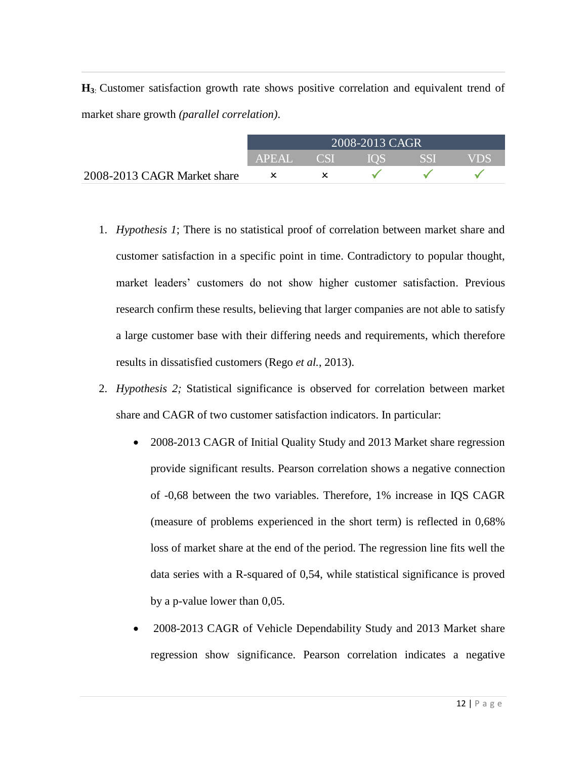**H3**: Customer satisfaction growth rate shows positive correlation and equivalent trend of market share growth *(parallel correlation)*.

|                             | 2008-2013 CAGR |              |                    |            |     |  |
|-----------------------------|----------------|--------------|--------------------|------------|-----|--|
|                             | APEAL          | $\angle$ CSI | $\geq 10$ S $\geq$ | <b>SSI</b> | VDS |  |
| 2008-2013 CAGR Market share |                |              |                    |            |     |  |

- 1. *Hypothesis 1*; There is no statistical proof of correlation between market share and customer satisfaction in a specific point in time. Contradictory to popular thought, market leaders' customers do not show higher customer satisfaction. Previous research confirm these results, believing that larger companies are not able to satisfy a large customer base with their differing needs and requirements, which therefore results in dissatisfied customers (Rego *et al.*, 2013).
- 2. *Hypothesis 2;* Statistical significance is observed for correlation between market share and CAGR of two customer satisfaction indicators. In particular:
	- 2008-2013 CAGR of Initial Quality Study and 2013 Market share regression provide significant results. Pearson correlation shows a negative connection of -0,68 between the two variables. Therefore, 1% increase in IQS CAGR (measure of problems experienced in the short term) is reflected in 0,68% loss of market share at the end of the period. The regression line fits well the data series with a R-squared of 0,54, while statistical significance is proved by a p-value lower than 0,05.
	- 2008-2013 CAGR of Vehicle Dependability Study and 2013 Market share regression show significance. Pearson correlation indicates a negative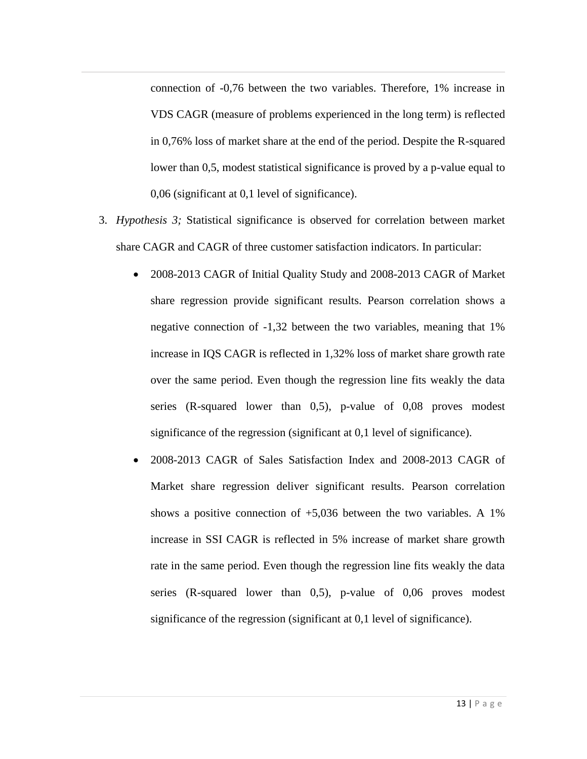connection of -0,76 between the two variables. Therefore, 1% increase in VDS CAGR (measure of problems experienced in the long term) is reflected in 0,76% loss of market share at the end of the period. Despite the R-squared lower than 0,5, modest statistical significance is proved by a p-value equal to 0,06 (significant at 0,1 level of significance).

- 3. *Hypothesis 3;* Statistical significance is observed for correlation between market share CAGR and CAGR of three customer satisfaction indicators. In particular:
	- 2008-2013 CAGR of Initial Quality Study and 2008-2013 CAGR of Market share regression provide significant results. Pearson correlation shows a negative connection of -1,32 between the two variables, meaning that 1% increase in IQS CAGR is reflected in 1,32% loss of market share growth rate over the same period. Even though the regression line fits weakly the data series (R-squared lower than 0,5), p-value of 0,08 proves modest significance of the regression (significant at 0,1 level of significance).
	- 2008-2013 CAGR of Sales Satisfaction Index and 2008-2013 CAGR of Market share regression deliver significant results. Pearson correlation shows a positive connection of  $+5,036$  between the two variables. A 1% increase in SSI CAGR is reflected in 5% increase of market share growth rate in the same period. Even though the regression line fits weakly the data series (R-squared lower than 0,5), p-value of 0,06 proves modest significance of the regression (significant at 0,1 level of significance).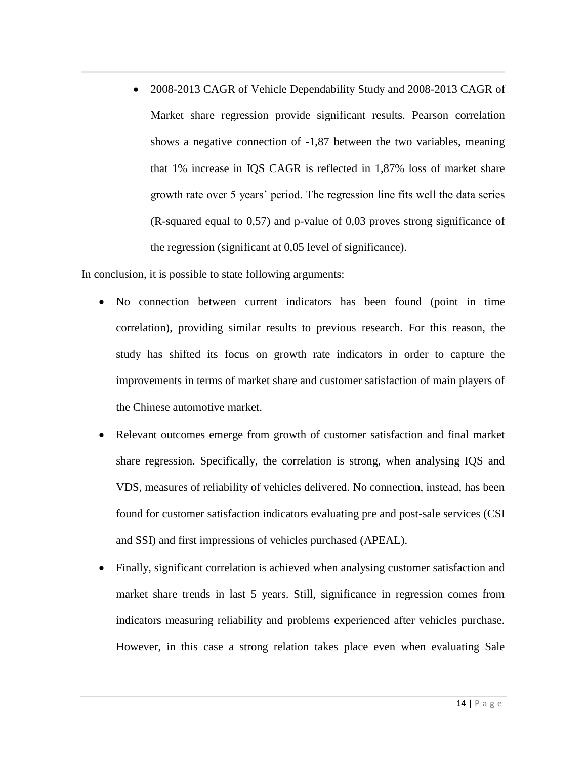• 2008-2013 CAGR of Vehicle Dependability Study and 2008-2013 CAGR of Market share regression provide significant results. Pearson correlation shows a negative connection of -1,87 between the two variables, meaning that 1% increase in IQS CAGR is reflected in 1,87% loss of market share growth rate over 5 years' period. The regression line fits well the data series (R-squared equal to 0,57) and p-value of 0,03 proves strong significance of the regression (significant at 0,05 level of significance).

In conclusion, it is possible to state following arguments:

- No connection between current indicators has been found (point in time correlation), providing similar results to previous research. For this reason, the study has shifted its focus on growth rate indicators in order to capture the improvements in terms of market share and customer satisfaction of main players of the Chinese automotive market.
- Relevant outcomes emerge from growth of customer satisfaction and final market share regression. Specifically, the correlation is strong, when analysing IQS and VDS, measures of reliability of vehicles delivered. No connection, instead, has been found for customer satisfaction indicators evaluating pre and post-sale services (CSI and SSI) and first impressions of vehicles purchased (APEAL).
- Finally, significant correlation is achieved when analysing customer satisfaction and market share trends in last 5 years. Still, significance in regression comes from indicators measuring reliability and problems experienced after vehicles purchase. However, in this case a strong relation takes place even when evaluating Sale